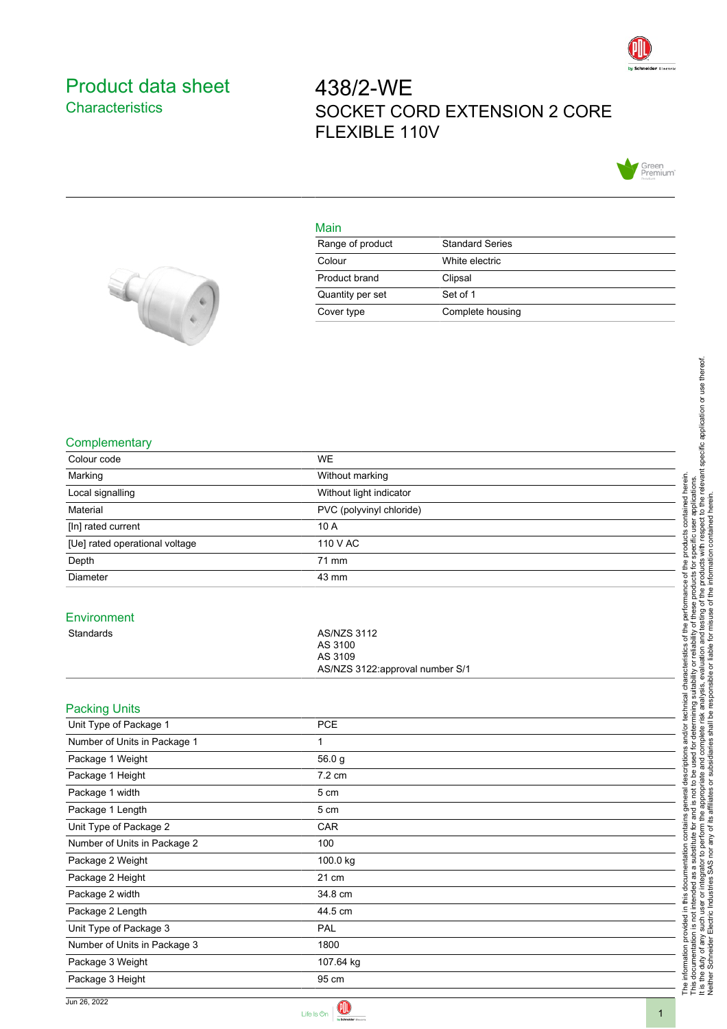

## <span id="page-0-0"></span>Product data sheet **Characteristics**

# 438/2-WE SOCKET CORD EXTENSION 2 CORE FLEXIBLE 110V



#### Main

| Range of product | <b>Standard Series</b> |
|------------------|------------------------|
| Colour           | White electric         |
| Product brand    | Clipsal                |
| Quantity per set | Set of 1               |
| Cover type       | Complete housing       |



#### **Complementary**

| Colour code                    | <b>WE</b>                                                                   |
|--------------------------------|-----------------------------------------------------------------------------|
| Marking                        | Without marking                                                             |
| Local signalling               | Without light indicator                                                     |
| Material                       | PVC (polyvinyl chloride)                                                    |
| [In] rated current             | 10 A                                                                        |
| [Ue] rated operational voltage | 110 V AC                                                                    |
| Depth                          | 71 mm                                                                       |
| Diameter                       | 43 mm                                                                       |
| Environment                    |                                                                             |
| Standards                      | <b>AS/NZS 3112</b><br>AS 3100<br>AS 3109<br>AS/NZS 3122:approval number S/1 |
| <b>Packing Units</b>           |                                                                             |
| Unit Type of Package 1         | PCE                                                                         |
| Number of Units in Package 1   | 1                                                                           |
| Package 1 Weight               | 56.0 g                                                                      |
| Package 1 Height               | 7.2 cm                                                                      |
| Package 1 width                | 5 cm                                                                        |
| Package 1 Length               | $5 \; \mathrm{cm}$                                                          |
| Unit Type of Package 2         | CAR                                                                         |
| Number of Units in Package 2   | 100                                                                         |
| Package 2 Weight               | 100.0 kg                                                                    |
| Package 2 Height               | 21 cm                                                                       |
| Package 2 width                | 34.8 cm                                                                     |
| Package 2 Length               | 44.5 cm                                                                     |
| Unit Type of Package 3         | PAL                                                                         |
| Number of Units in Package 3   | 1800                                                                        |
| Package 3 Weight               | 107.64 kg                                                                   |
| Package 3 Height               | 95 cm                                                                       |

Neither Schneider Electric Industries SAS nor any of its affiliates or subsidiaries shall be responsible or liable for misuse of the information contained herein.